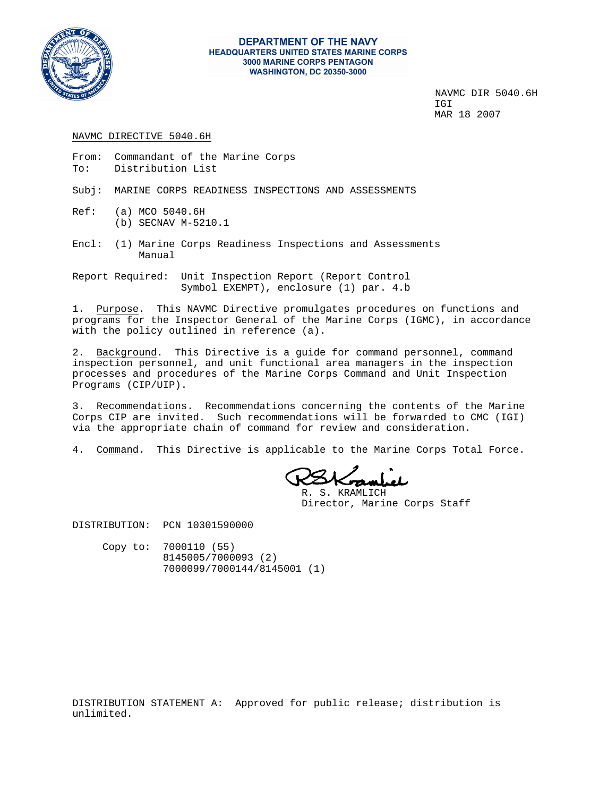

#### **DEPARTMENT OF THE NAVY HEADQUARTERS UNITED STATES MARINE CORPS 3000 MARINE CORPS PENTAGON WASHINGTON, DC 20350-3000**

NAVMC DIR 5040.6H IGI MAR 18 2007

#### NAVMC DIRECTIVE 5040.6H

- From: Commandant of the Marine Corps To: Distribution List
- Subj: MARINE CORPS READINESS INSPECTIONS AND ASSESSMENTS
- Ref: (a) MCO 5040.6H (b) SECNAV M-5210.1
- Encl: (1) Marine Corps Readiness Inspections and Assessments Manual
- Report Required: Unit Inspection Report (Report Control Symbol EXEMPT), enclosure (1) par. 4.b

1. Purpose. This NAVMC Directive promulgates procedures on functions and programs for the Inspector General of the Marine Corps (IGMC), in accordance with the policy outlined in reference (a).

2. Background. This Directive is a guide for command personnel, command inspection personnel, and unit functional area managers in the inspection processes and procedures of the Marine Corps Command and Unit Inspection Programs (CIP/UIP).

3. Recommendations. Recommendations concerning the contents of the Marine Corps CIP are invited. Such recommendations will be forwarded to CMC (IGI) via the appropriate chain of command for review and consideration.

4. Command. This Directive is applicable to the Marine Corps Total Force.

Sombel

 R. S. KRAMLICH Director, Marine Corps Staff

DISTRIBUTION: PCN 10301590000

 Copy to: 7000110 (55) 8145005/7000093 (2) 7000099/7000144/8145001 (1)

DISTRIBUTION STATEMENT A: Approved for public release; distribution is unlimited.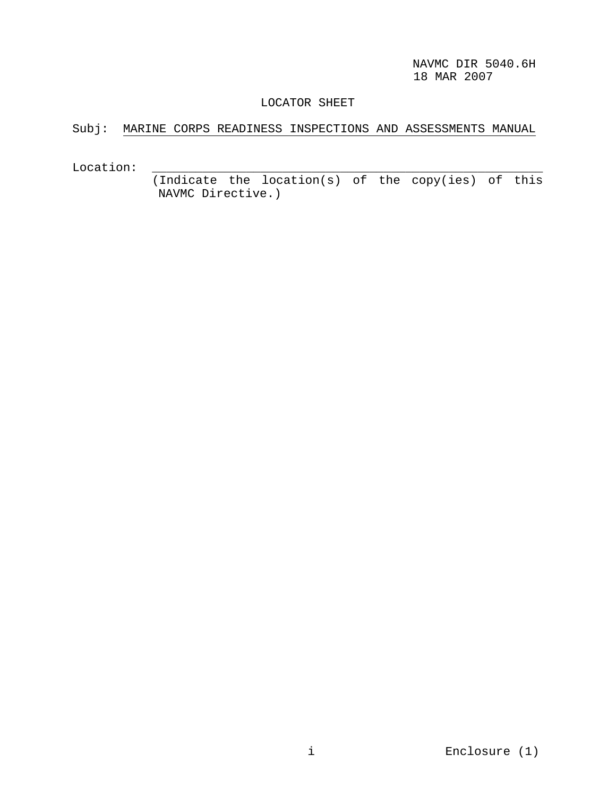## LOCATOR SHEET

# Subj: MARINE CORPS READINESS INSPECTIONS AND ASSESSMENTS MANUAL

Location: \_\_\_\_\_\_\_\_\_\_\_\_\_\_\_\_\_\_\_\_\_\_\_\_\_\_\_\_\_\_\_\_\_\_\_\_\_\_\_\_\_\_\_\_\_\_\_\_\_\_\_\_\_\_

 (Indicate the location(s) of the copy(ies) of this NAVMC Directive.)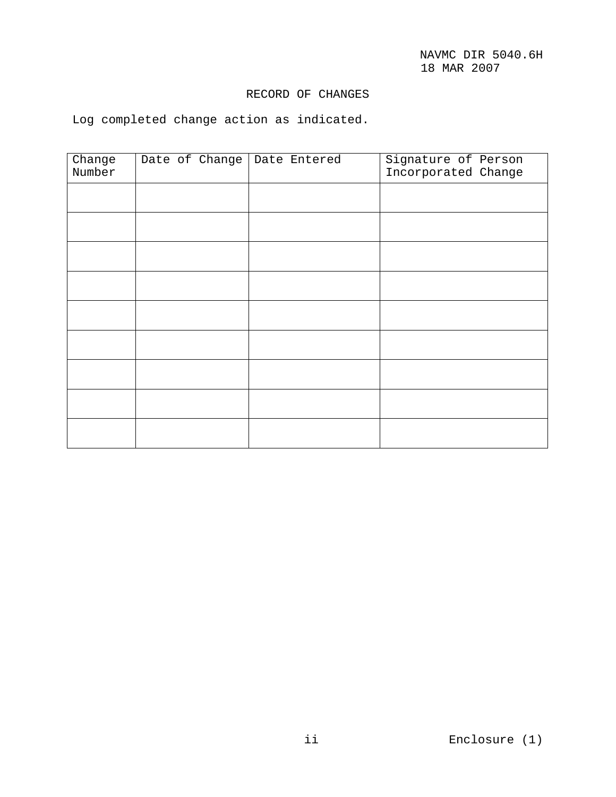## RECORD OF CHANGES

Log completed change action as indicated.

| Change | Date of Change   Date Entered |  | Signature of Person |  |
|--------|-------------------------------|--|---------------------|--|
| Number |                               |  | Incorporated Change |  |
|        |                               |  |                     |  |
|        |                               |  |                     |  |
|        |                               |  |                     |  |
|        |                               |  |                     |  |
|        |                               |  |                     |  |
|        |                               |  |                     |  |
|        |                               |  |                     |  |
|        |                               |  |                     |  |
|        |                               |  |                     |  |
|        |                               |  |                     |  |
|        |                               |  |                     |  |
|        |                               |  |                     |  |
|        |                               |  |                     |  |
|        |                               |  |                     |  |
|        |                               |  |                     |  |
|        |                               |  |                     |  |
|        |                               |  |                     |  |
|        |                               |  |                     |  |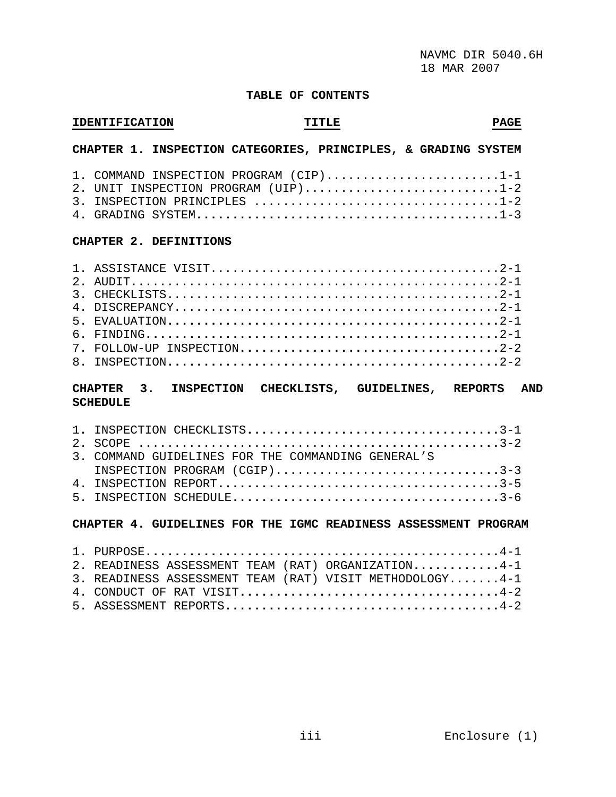#### **TABLE OF CONTENTS**

#### **IDENTIFICATION TITLE PAGE**

## **CHAPTER 1. INSPECTION CATEGORIES, PRINCIPLES, & GRADING SYSTEM**

| 1. COMMAND INSPECTION PROGRAM $(CIP)$ 1-1 |
|-------------------------------------------|
| 2. UNIT INSPECTION PROGRAM (UIP)1-2       |
|                                           |
|                                           |

#### **CHAPTER 2. DEFINITIONS**

## **CHAPTER 3. INSPECTION CHECKLISTS, GUIDELINES, REPORTS AND SCHEDULE**

| 3. COMMAND GUIDELINES FOR THE COMMANDING GENERAL'S |  |
|----------------------------------------------------|--|
| INSPECTION PROGRAM (CGIP)3-3                       |  |
|                                                    |  |
|                                                    |  |

#### **CHAPTER 4. GUIDELINES FOR THE IGMC READINESS ASSESSMENT PROGRAM**

| 2. READINESS ASSESSMENT TEAM (RAT) ORGANIZATION4-1      |
|---------------------------------------------------------|
| 3. READINESS ASSESSMENT TEAM (RAT) VISIT METHODOLOGY4-1 |
|                                                         |
|                                                         |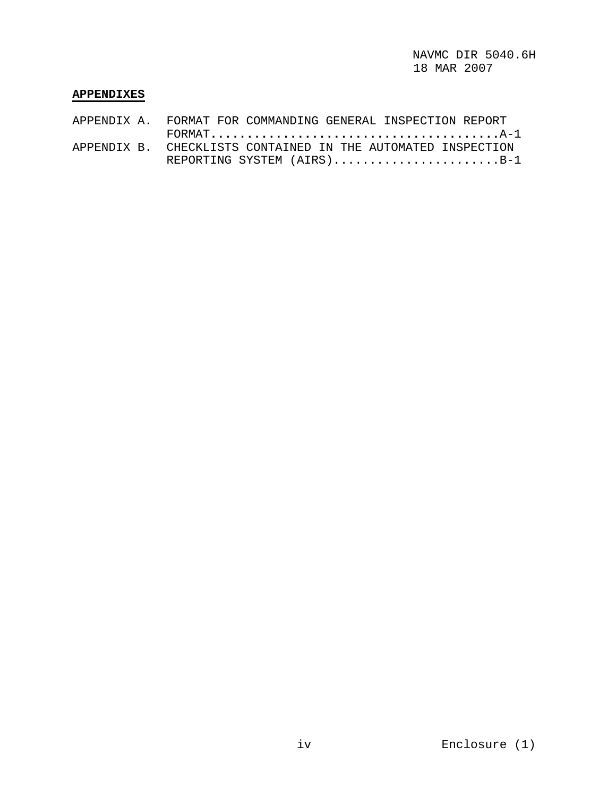## **APPENDIXES**

|  | APPENDIX A. FORMAT FOR COMMANDING GENERAL INSPECTION REPORT                                                                                    |
|--|------------------------------------------------------------------------------------------------------------------------------------------------|
|  | $\texttt{FORMAT} \texttt{} \ldots \texttt{} \ldots \texttt{} \ldots \texttt{} \ldots \texttt{} \ldots \texttt{} \ldots \texttt{} \texttt{A-1}$ |
|  | APPENDIX B. CHECKLISTS CONTAINED IN THE AUTOMATED INSPECTION                                                                                   |
|  | REPORTING SYSTEM $(AIRS)$ B-1                                                                                                                  |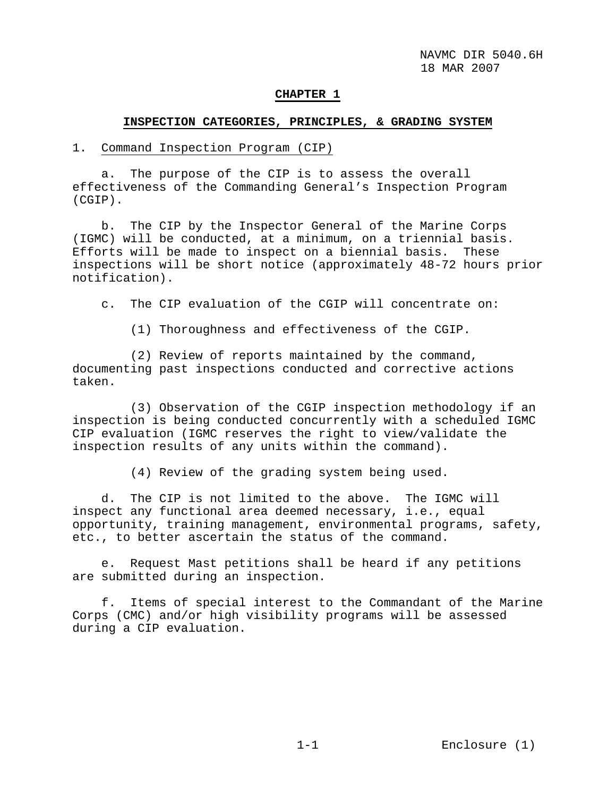#### **CHAPTER 1**

## **INSPECTION CATEGORIES, PRINCIPLES, & GRADING SYSTEM**

#### 1. Command Inspection Program (CIP)

 a. The purpose of the CIP is to assess the overall effectiveness of the Commanding General's Inspection Program (CGIP).

 b. The CIP by the Inspector General of the Marine Corps (IGMC) will be conducted, at a minimum, on a triennial basis. Efforts will be made to inspect on a biennial basis. These inspections will be short notice (approximately 48-72 hours prior notification).

c. The CIP evaluation of the CGIP will concentrate on:

(1) Thoroughness and effectiveness of the CGIP.

 (2) Review of reports maintained by the command, documenting past inspections conducted and corrective actions taken.

 (3) Observation of the CGIP inspection methodology if an inspection is being conducted concurrently with a scheduled IGMC CIP evaluation (IGMC reserves the right to view/validate the inspection results of any units within the command).

(4) Review of the grading system being used.

 d. The CIP is not limited to the above. The IGMC will inspect any functional area deemed necessary, i.e., equal opportunity, training management, environmental programs, safety, etc., to better ascertain the status of the command.

 e. Request Mast petitions shall be heard if any petitions are submitted during an inspection.

 f. Items of special interest to the Commandant of the Marine Corps (CMC) and/or high visibility programs will be assessed during a CIP evaluation.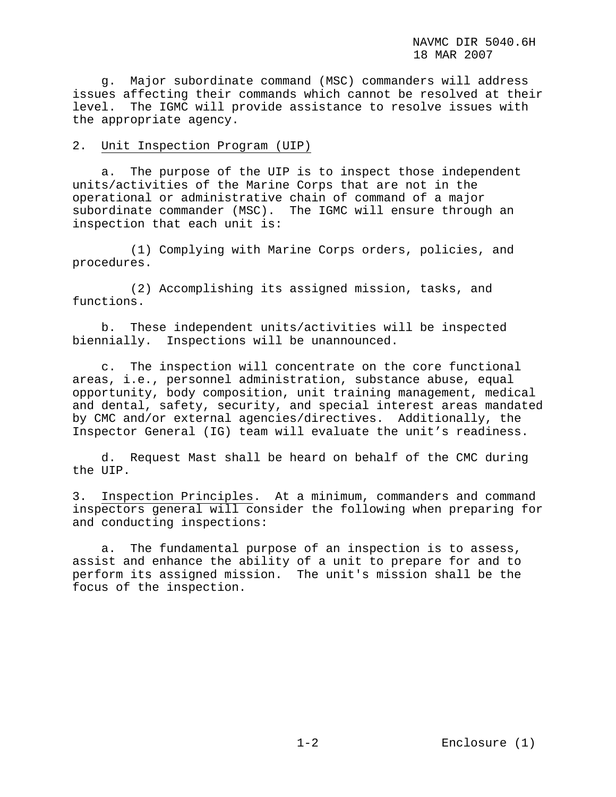g. Major subordinate command (MSC) commanders will address issues affecting their commands which cannot be resolved at their level. The IGMC will provide assistance to resolve issues with the appropriate agency.

### 2. Unit Inspection Program (UIP)

 a. The purpose of the UIP is to inspect those independent units/activities of the Marine Corps that are not in the operational or administrative chain of command of a major subordinate commander (MSC). The IGMC will ensure through an inspection that each unit is:

 (1) Complying with Marine Corps orders, policies, and procedures.

 (2) Accomplishing its assigned mission, tasks, and functions.

 b. These independent units/activities will be inspected biennially. Inspections will be unannounced.

 c. The inspection will concentrate on the core functional areas, i.e., personnel administration, substance abuse, equal opportunity, body composition, unit training management, medical and dental, safety, security, and special interest areas mandated by CMC and/or external agencies/directives. Additionally, the Inspector General (IG) team will evaluate the unit's readiness.

 d. Request Mast shall be heard on behalf of the CMC during the UIP.

3. Inspection Principles. At a minimum, commanders and command inspectors general will consider the following when preparing for and conducting inspections:

 a. The fundamental purpose of an inspection is to assess, assist and enhance the ability of a unit to prepare for and to perform its assigned mission. The unit's mission shall be the focus of the inspection.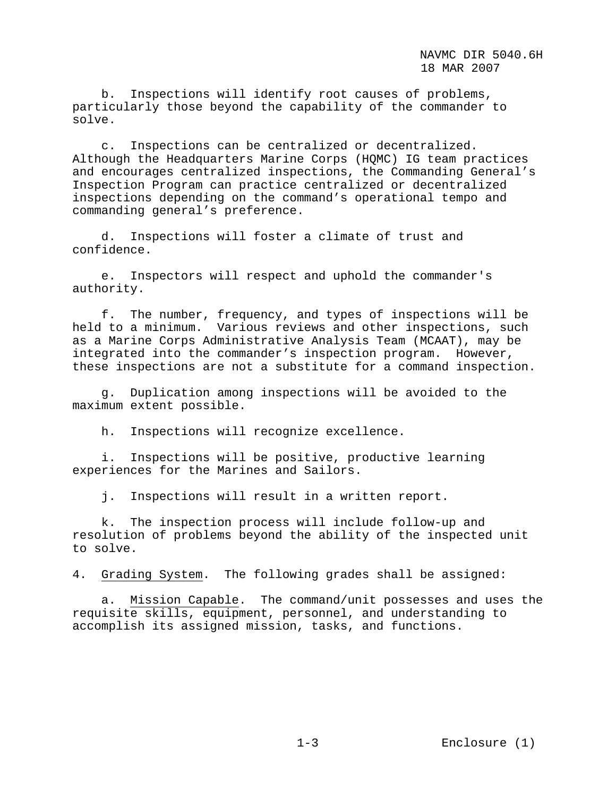b. Inspections will identify root causes of problems, particularly those beyond the capability of the commander to solve.

 c. Inspections can be centralized or decentralized. Although the Headquarters Marine Corps (HQMC) IG team practices and encourages centralized inspections, the Commanding General's Inspection Program can practice centralized or decentralized inspections depending on the command's operational tempo and commanding general's preference.

 d. Inspections will foster a climate of trust and confidence.

 e. Inspectors will respect and uphold the commander's authority.

 f. The number, frequency, and types of inspections will be held to a minimum. Various reviews and other inspections, such as a Marine Corps Administrative Analysis Team (MCAAT), may be integrated into the commander's inspection program. However, these inspections are not a substitute for a command inspection.

 g. Duplication among inspections will be avoided to the maximum extent possible.

h. Inspections will recognize excellence.

 i. Inspections will be positive, productive learning experiences for the Marines and Sailors.

j. Inspections will result in a written report.

 k. The inspection process will include follow-up and resolution of problems beyond the ability of the inspected unit to solve.

4. Grading System. The following grades shall be assigned:

 a. Mission Capable. The command/unit possesses and uses the requisite skills, equipment, personnel, and understanding to accomplish its assigned mission, tasks, and functions.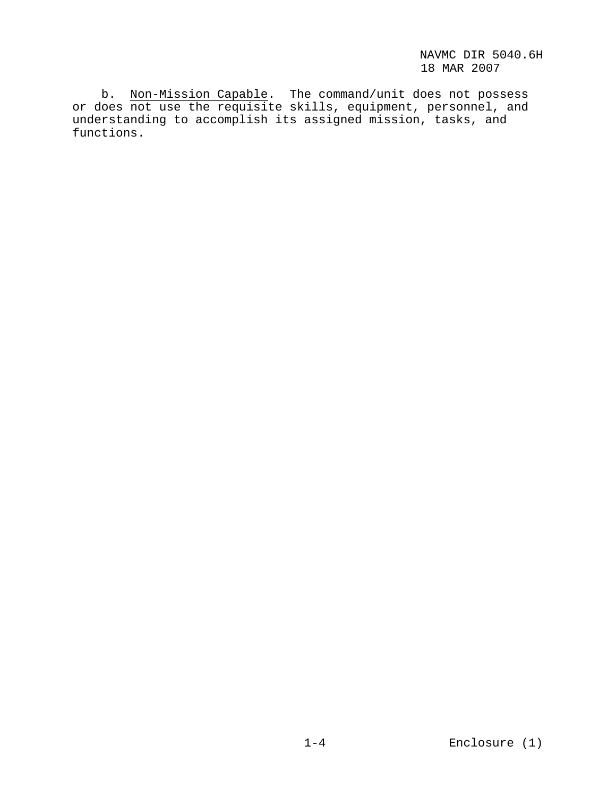b. Non-Mission Capable. The command/unit does not possess or does not use the requisite skills, equipment, personnel, and understanding to accomplish its assigned mission, tasks, and functions.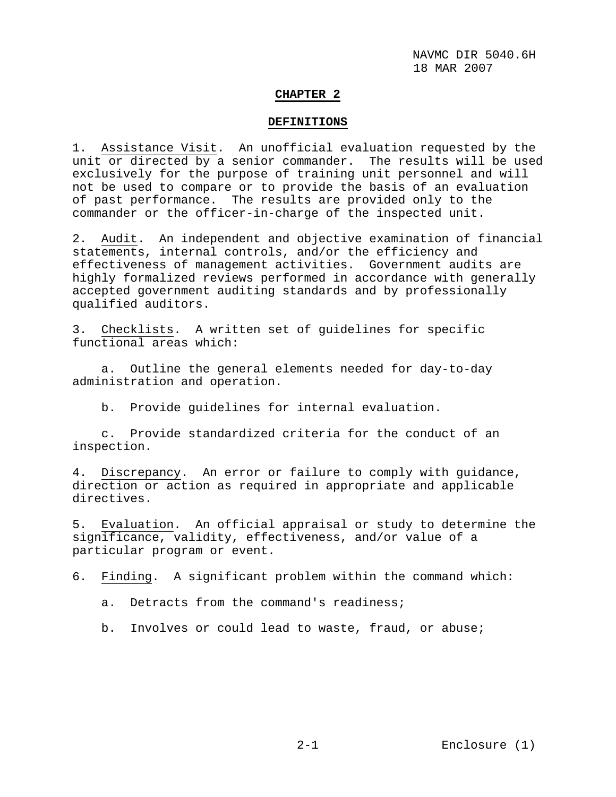#### **CHAPTER 2**

#### **DEFINITIONS**

1. Assistance Visit. An unofficial evaluation requested by the unit or directed by a senior commander. The results will be used exclusively for the purpose of training unit personnel and will not be used to compare or to provide the basis of an evaluation of past performance. The results are provided only to the commander or the officer-in-charge of the inspected unit.

2. Audit. An independent and objective examination of financial statements, internal controls, and/or the efficiency and effectiveness of management activities. Government audits are highly formalized reviews performed in accordance with generally accepted government auditing standards and by professionally qualified auditors.

3. Checklists. A written set of guidelines for specific functional areas which:

 a. Outline the general elements needed for day-to-day administration and operation.

b. Provide guidelines for internal evaluation.

 c. Provide standardized criteria for the conduct of an inspection.

4. Discrepancy. An error or failure to comply with guidance, direction or action as required in appropriate and applicable directives.

5. Evaluation. An official appraisal or study to determine the significance, validity, effectiveness, and/or value of a particular program or event.

6. Finding. A significant problem within the command which:

- a. Detracts from the command's readiness;
- b. Involves or could lead to waste, fraud, or abuse;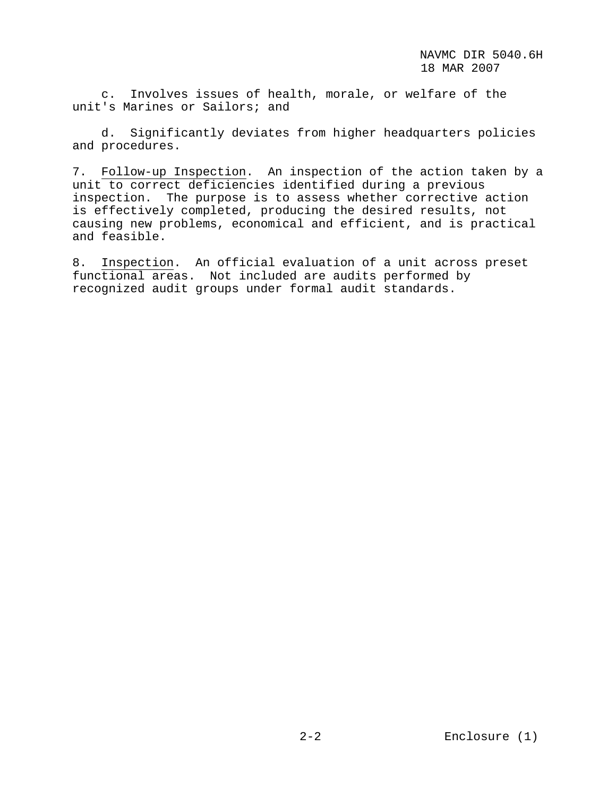c. Involves issues of health, morale, or welfare of the unit's Marines or Sailors; and

 d. Significantly deviates from higher headquarters policies and procedures.

7. Follow-up Inspection. An inspection of the action taken by a unit to correct deficiencies identified during a previous inspection. The purpose is to assess whether corrective action is effectively completed, producing the desired results, not causing new problems, economical and efficient, and is practical and feasible.

8. Inspection. An official evaluation of a unit across preset functional areas. Not included are audits performed by recognized audit groups under formal audit standards.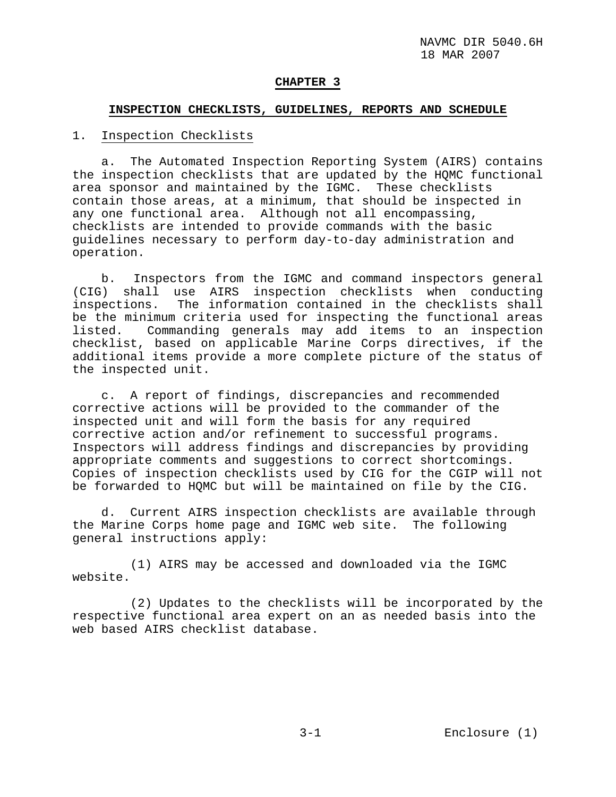### **CHAPTER 3**

#### **INSPECTION CHECKLISTS, GUIDELINES, REPORTS AND SCHEDULE**

## 1. Inspection Checklists

 a. The Automated Inspection Reporting System (AIRS) contains the inspection checklists that are updated by the HQMC functional area sponsor and maintained by the IGMC. These checklists contain those areas, at a minimum, that should be inspected in any one functional area. Although not all encompassing, checklists are intended to provide commands with the basic guidelines necessary to perform day-to-day administration and operation.

 b. Inspectors from the IGMC and command inspectors general (CIG) shall use AIRS inspection checklists when conducting inspections. The information contained in the checklists shall be the minimum criteria used for inspecting the functional areas listed. Commanding generals may add items to an inspection checklist, based on applicable Marine Corps directives, if the additional items provide a more complete picture of the status of the inspected unit.

 c. A report of findings, discrepancies and recommended corrective actions will be provided to the commander of the inspected unit and will form the basis for any required corrective action and/or refinement to successful programs. Inspectors will address findings and discrepancies by providing appropriate comments and suggestions to correct shortcomings. Copies of inspection checklists used by CIG for the CGIP will not be forwarded to HQMC but will be maintained on file by the CIG.

 d. Current AIRS inspection checklists are available through the Marine Corps home page and IGMC web site. The following general instructions apply:

 (1) AIRS may be accessed and downloaded via the IGMC website.

 (2) Updates to the checklists will be incorporated by the respective functional area expert on an as needed basis into the web based AIRS checklist database.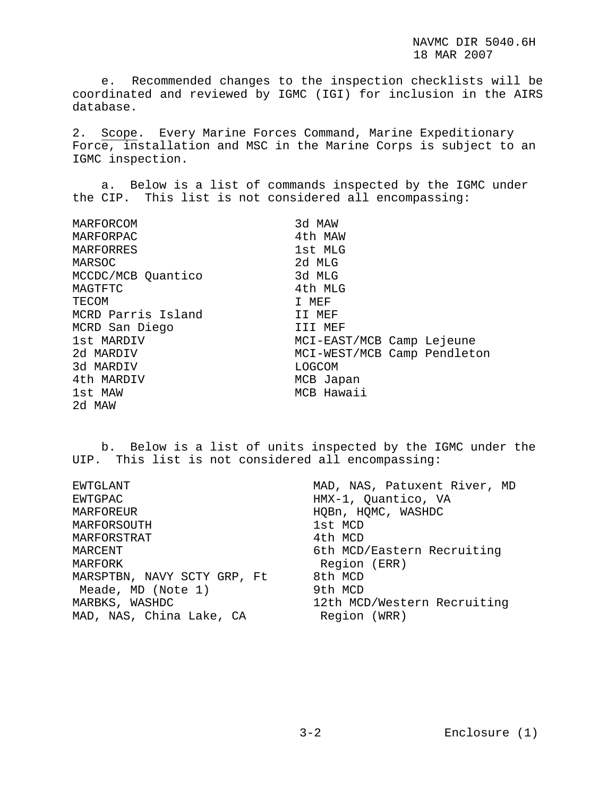e. Recommended changes to the inspection checklists will be coordinated and reviewed by IGMC (IGI) for inclusion in the AIRS database.

2. Scope. Every Marine Forces Command, Marine Expeditionary Force, installation and MSC in the Marine Corps is subject to an IGMC inspection.

 a. Below is a list of commands inspected by the IGMC under the CIP. This list is not considered all encompassing:

| MARFORCOM          | 3d MAW                      |
|--------------------|-----------------------------|
| MARFORPAC          | 4th MAW                     |
| MARFORRES          | 1st MLG                     |
| MARSOC             | 2d MLG                      |
| MCCDC/MCB Quantico | 3d MLG                      |
| MAGTFTC            | 4th MLG                     |
| TECOM              | I MEF                       |
| MCRD Parris Island | II MEF                      |
| MCRD San Diego     | III MEF                     |
| 1st MARDIV         | MCI-EAST/MCB Camp Lejeune   |
| 2d MARDIV          | MCI-WEST/MCB Camp Pendleton |
| 3d MARDIV          | LOGCOM                      |
| 4th MARDIV         | MCB Japan                   |
| 1st MAW            | MCB Hawaii                  |
| 2d MAW             |                             |

 b. Below is a list of units inspected by the IGMC under the UIP. This list is not considered all encompassing:

| MAD, NAS, Patuxent River, MD |  |  |
|------------------------------|--|--|
| HMX-1, Quantico, VA          |  |  |
| HOBn, HOMC, WASHDC           |  |  |
| 1st MCD                      |  |  |
| 4th MCD                      |  |  |
| 6th MCD/Eastern Recruiting   |  |  |
| Region (ERR)                 |  |  |
| 8th MCD                      |  |  |
| 9th MCD                      |  |  |
| 12th MCD/Western Recruiting  |  |  |
| Region (WRR)                 |  |  |
|                              |  |  |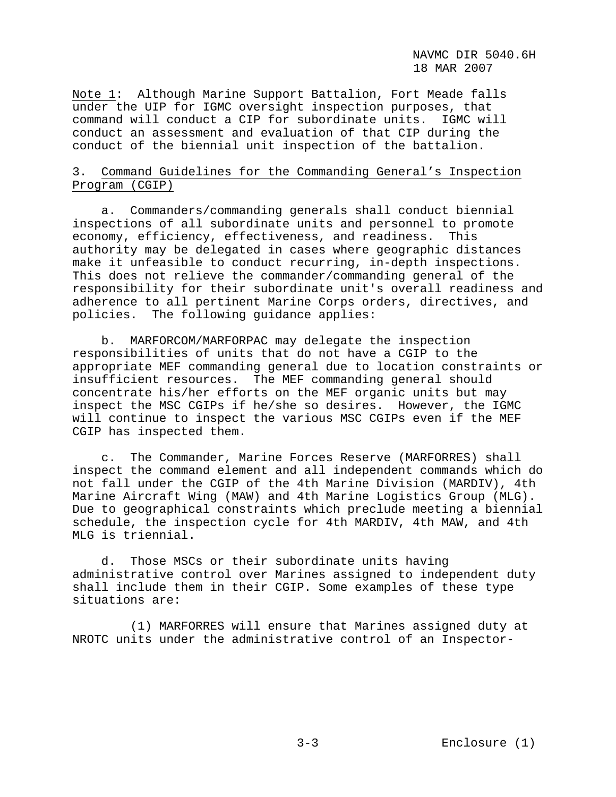Note 1: Although Marine Support Battalion, Fort Meade falls under the UIP for IGMC oversight inspection purposes, that command will conduct a CIP for subordinate units. IGMC will conduct an assessment and evaluation of that CIP during the conduct of the biennial unit inspection of the battalion.

## 3. Command Guidelines for the Commanding General's Inspection Program (CGIP)

 a. Commanders/commanding generals shall conduct biennial inspections of all subordinate units and personnel to promote economy, efficiency, effectiveness, and readiness. This authority may be delegated in cases where geographic distances make it unfeasible to conduct recurring, in-depth inspections. This does not relieve the commander/commanding general of the responsibility for their subordinate unit's overall readiness and adherence to all pertinent Marine Corps orders, directives, and policies. The following guidance applies:

 b. MARFORCOM/MARFORPAC may delegate the inspection responsibilities of units that do not have a CGIP to the appropriate MEF commanding general due to location constraints or insufficient resources. The MEF commanding general should concentrate his/her efforts on the MEF organic units but may inspect the MSC CGIPs if he/she so desires. However, the IGMC will continue to inspect the various MSC CGIPs even if the MEF CGIP has inspected them.

 c. The Commander, Marine Forces Reserve (MARFORRES) shall inspect the command element and all independent commands which do not fall under the CGIP of the 4th Marine Division (MARDIV), 4th Marine Aircraft Wing (MAW) and 4th Marine Logistics Group (MLG). Due to geographical constraints which preclude meeting a biennial schedule, the inspection cycle for 4th MARDIV, 4th MAW, and 4th MLG is triennial.

 d. Those MSCs or their subordinate units having administrative control over Marines assigned to independent duty shall include them in their CGIP. Some examples of these type situations are:

 (1) MARFORRES will ensure that Marines assigned duty at NROTC units under the administrative control of an Inspector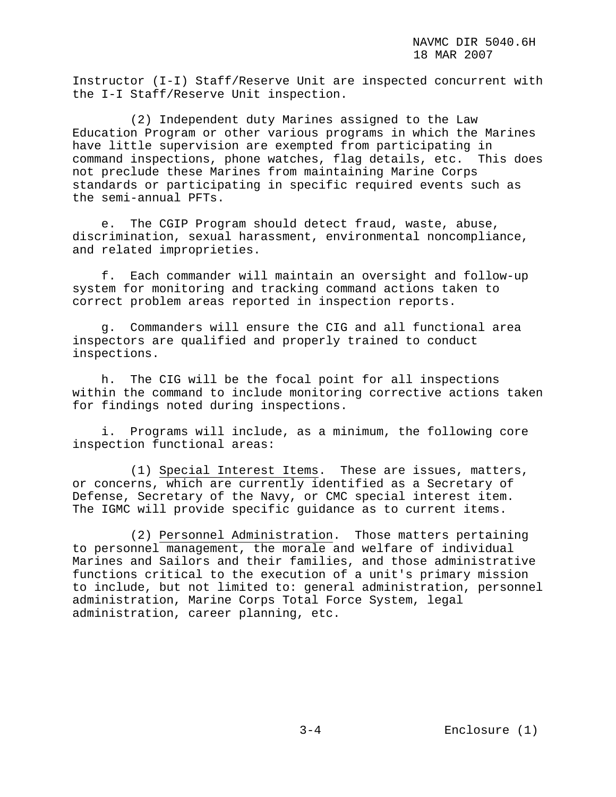Instructor (I-I) Staff/Reserve Unit are inspected concurrent with the I-I Staff/Reserve Unit inspection.

 (2) Independent duty Marines assigned to the Law Education Program or other various programs in which the Marines have little supervision are exempted from participating in command inspections, phone watches, flag details, etc. This does not preclude these Marines from maintaining Marine Corps standards or participating in specific required events such as the semi-annual PFTs.

 e. The CGIP Program should detect fraud, waste, abuse, discrimination, sexual harassment, environmental noncompliance, and related improprieties.

 f. Each commander will maintain an oversight and follow-up system for monitoring and tracking command actions taken to correct problem areas reported in inspection reports.

 g. Commanders will ensure the CIG and all functional area inspectors are qualified and properly trained to conduct inspections.

 h. The CIG will be the focal point for all inspections within the command to include monitoring corrective actions taken for findings noted during inspections.

 i. Programs will include, as a minimum, the following core inspection functional areas:

 (1) Special Interest Items. These are issues, matters, or concerns, which are currently identified as a Secretary of Defense, Secretary of the Navy, or CMC special interest item. The IGMC will provide specific guidance as to current items.

 (2) Personnel Administration. Those matters pertaining to personnel management, the morale and welfare of individual Marines and Sailors and their families, and those administrative functions critical to the execution of a unit's primary mission to include, but not limited to: general administration, personnel administration, Marine Corps Total Force System, legal administration, career planning, etc.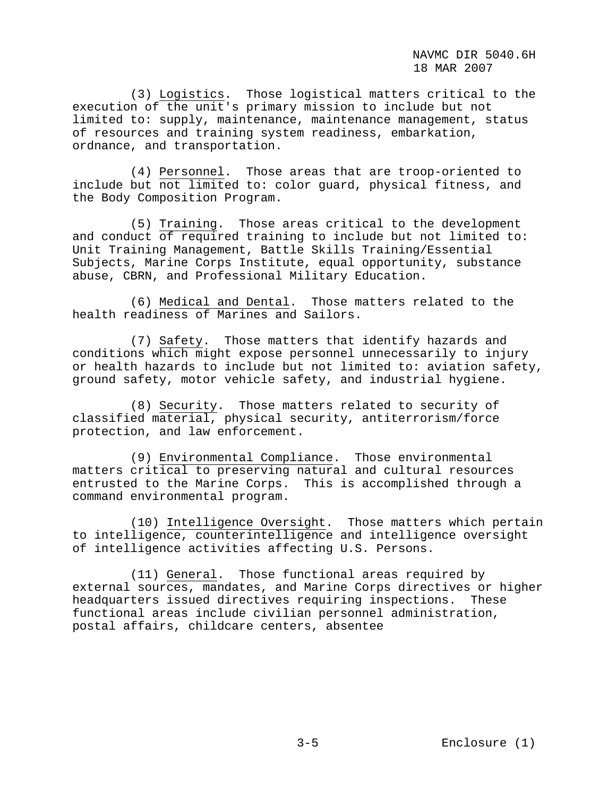(3) Logistics. Those logistical matters critical to the execution of the unit's primary mission to include but not limited to: supply, maintenance, maintenance management, status of resources and training system readiness, embarkation, ordnance, and transportation.

 (4) Personnel. Those areas that are troop-oriented to include but not limited to: color guard, physical fitness, and the Body Composition Program.

 (5) Training. Those areas critical to the development and conduct of required training to include but not limited to: Unit Training Management, Battle Skills Training/Essential Subjects, Marine Corps Institute, equal opportunity, substance abuse, CBRN, and Professional Military Education.

 (6) Medical and Dental. Those matters related to the health readiness of Marines and Sailors.

 (7) Safety. Those matters that identify hazards and conditions which might expose personnel unnecessarily to injury or health hazards to include but not limited to: aviation safety, ground safety, motor vehicle safety, and industrial hygiene.

 (8) Security. Those matters related to security of classified material, physical security, antiterrorism/force protection, and law enforcement.

 (9) Environmental Compliance. Those environmental matters critical to preserving natural and cultural resources entrusted to the Marine Corps. This is accomplished through a command environmental program.

 (10) Intelligence Oversight. Those matters which pertain to intelligence, counterintelligence and intelligence oversight of intelligence activities affecting U.S. Persons.

 (11) General. Those functional areas required by external sources, mandates, and Marine Corps directives or higher headquarters issued directives requiring inspections. These functional areas include civilian personnel administration, postal affairs, childcare centers, absentee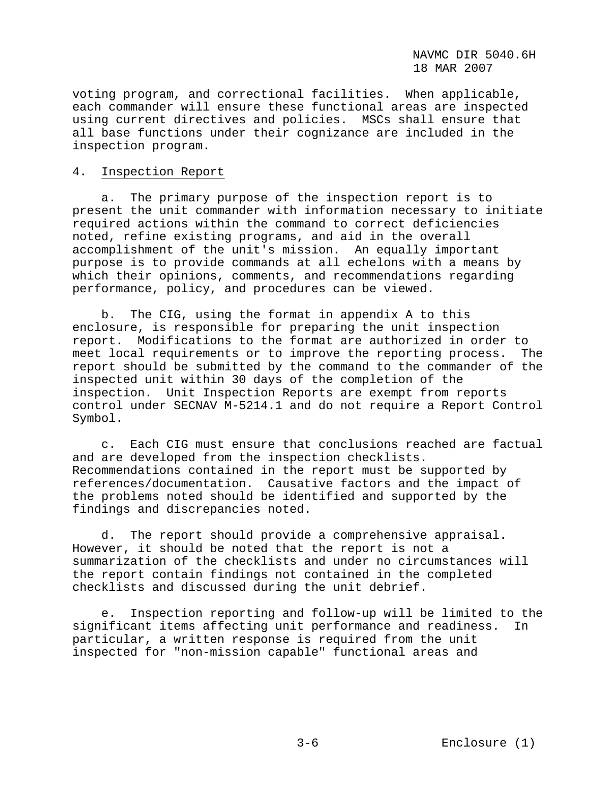voting program, and correctional facilities. When applicable, each commander will ensure these functional areas are inspected using current directives and policies. MSCs shall ensure that all base functions under their cognizance are included in the inspection program.

#### 4. Inspection Report

 a. The primary purpose of the inspection report is to present the unit commander with information necessary to initiate required actions within the command to correct deficiencies noted, refine existing programs, and aid in the overall accomplishment of the unit's mission. An equally important purpose is to provide commands at all echelons with a means by which their opinions, comments, and recommendations regarding performance, policy, and procedures can be viewed.

 b. The CIG, using the format in appendix A to this enclosure, is responsible for preparing the unit inspection report. Modifications to the format are authorized in order to meet local requirements or to improve the reporting process. The report should be submitted by the command to the commander of the inspected unit within 30 days of the completion of the inspection. Unit Inspection Reports are exempt from reports control under SECNAV M-5214.1 and do not require a Report Control Symbol.

 c. Each CIG must ensure that conclusions reached are factual and are developed from the inspection checklists. Recommendations contained in the report must be supported by references/documentation. Causative factors and the impact of the problems noted should be identified and supported by the findings and discrepancies noted.

 d. The report should provide a comprehensive appraisal. However, it should be noted that the report is not a summarization of the checklists and under no circumstances will the report contain findings not contained in the completed checklists and discussed during the unit debrief.

 e. Inspection reporting and follow-up will be limited to the significant items affecting unit performance and readiness. In particular, a written response is required from the unit inspected for "non-mission capable" functional areas and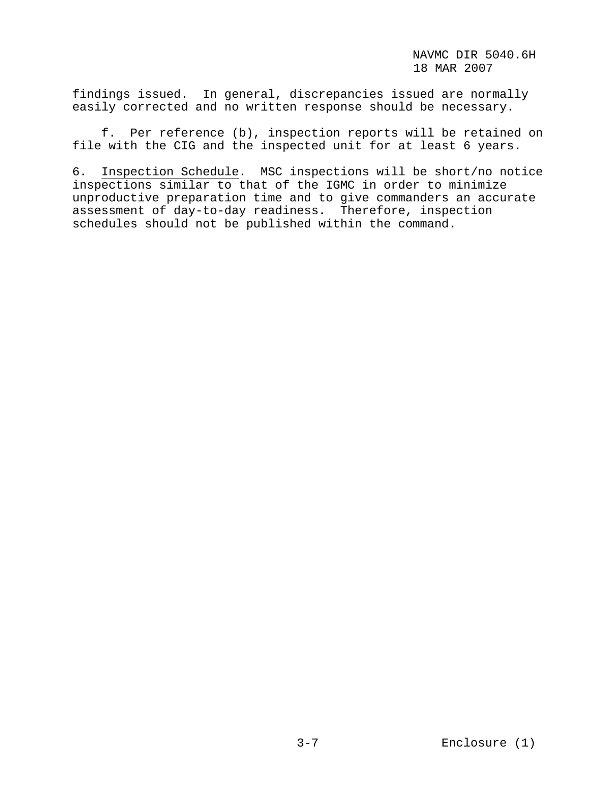findings issued. In general, discrepancies issued are normally easily corrected and no written response should be necessary.

 f. Per reference (b), inspection reports will be retained on file with the CIG and the inspected unit for at least 6 years.

6. Inspection Schedule. MSC inspections will be short/no notice inspections similar to that of the IGMC in order to minimize unproductive preparation time and to give commanders an accurate assessment of day-to-day readiness. Therefore, inspection schedules should not be published within the command.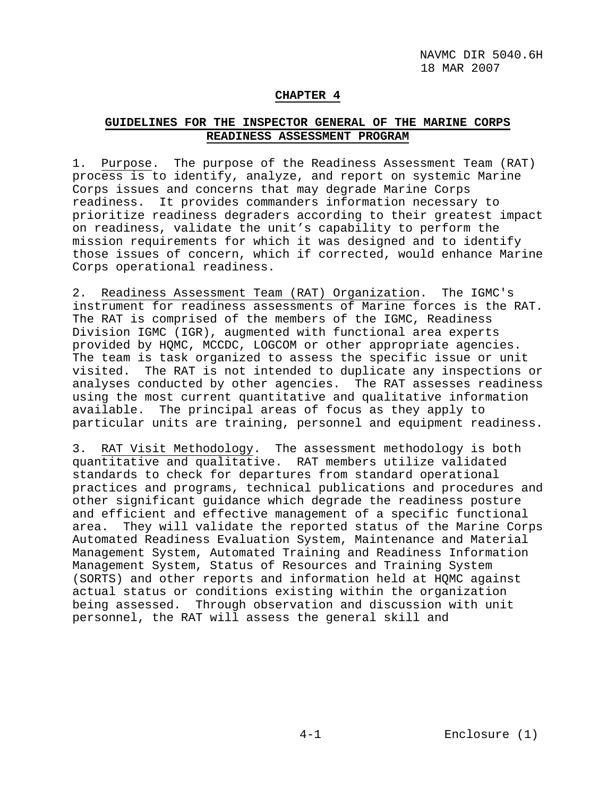### **CHAPTER 4**

## **GUIDELINES FOR THE INSPECTOR GENERAL OF THE MARINE CORPS READINESS ASSESSMENT PROGRAM**

1. Purpose. The purpose of the Readiness Assessment Team (RAT) process is to identify, analyze, and report on systemic Marine Corps issues and concerns that may degrade Marine Corps readiness. It provides commanders information necessary to prioritize readiness degraders according to their greatest impact on readiness, validate the unit's capability to perform the mission requirements for which it was designed and to identify those issues of concern, which if corrected, would enhance Marine Corps operational readiness.

2. Readiness Assessment Team (RAT) Organization. The IGMC's instrument for readiness assessments of Marine forces is the RAT. The RAT is comprised of the members of the IGMC, Readiness Division IGMC (IGR), augmented with functional area experts provided by HQMC, MCCDC, LOGCOM or other appropriate agencies. The team is task organized to assess the specific issue or unit visited. The RAT is not intended to duplicate any inspections or analyses conducted by other agencies. The RAT assesses readiness using the most current quantitative and qualitative information available. The principal areas of focus as they apply to particular units are training, personnel and equipment readiness.

3. RAT Visit Methodology. The assessment methodology is both quantitative and qualitative. RAT members utilize validated standards to check for departures from standard operational practices and programs, technical publications and procedures and other significant guidance which degrade the readiness posture and efficient and effective management of a specific functional area. They will validate the reported status of the Marine Corps Automated Readiness Evaluation System, Maintenance and Material Management System, Automated Training and Readiness Information Management System, Status of Resources and Training System (SORTS) and other reports and information held at HQMC against actual status or conditions existing within the organization being assessed. Through observation and discussion with unit personnel, the RAT will assess the general skill and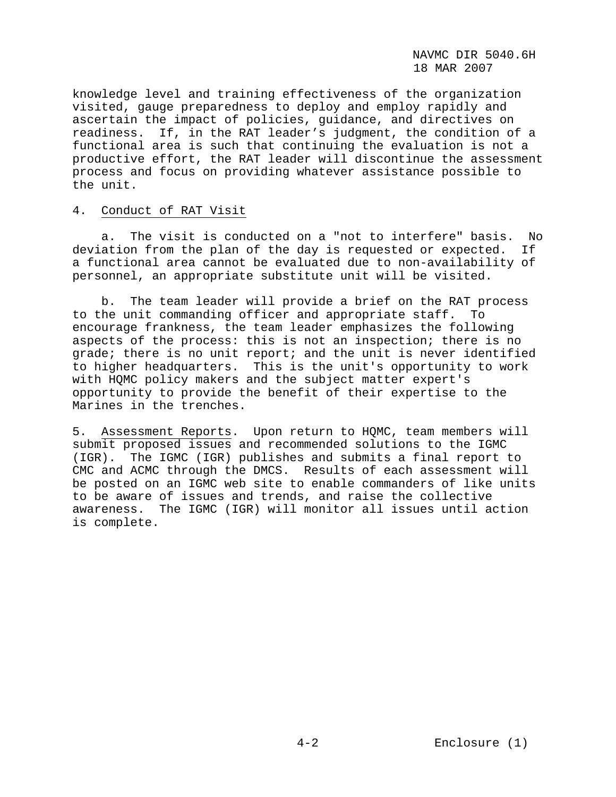knowledge level and training effectiveness of the organization visited, gauge preparedness to deploy and employ rapidly and ascertain the impact of policies, guidance, and directives on readiness. If, in the RAT leader's judgment, the condition of a functional area is such that continuing the evaluation is not a productive effort, the RAT leader will discontinue the assessment process and focus on providing whatever assistance possible to the unit.

## 4. Conduct of RAT Visit

 a. The visit is conducted on a "not to interfere" basis. No deviation from the plan of the day is requested or expected. If a functional area cannot be evaluated due to non-availability of personnel, an appropriate substitute unit will be visited.

 b. The team leader will provide a brief on the RAT process to the unit commanding officer and appropriate staff. To encourage frankness, the team leader emphasizes the following aspects of the process: this is not an inspection; there is no grade; there is no unit report; and the unit is never identified to higher headquarters. This is the unit's opportunity to work with HQMC policy makers and the subject matter expert's opportunity to provide the benefit of their expertise to the Marines in the trenches.

5. Assessment Reports. Upon return to HQMC, team members will submit proposed issues and recommended solutions to the IGMC (IGR). The IGMC (IGR) publishes and submits a final report to CMC and ACMC through the DMCS. Results of each assessment will be posted on an IGMC web site to enable commanders of like units to be aware of issues and trends, and raise the collective awareness. The IGMC (IGR) will monitor all issues until action is complete.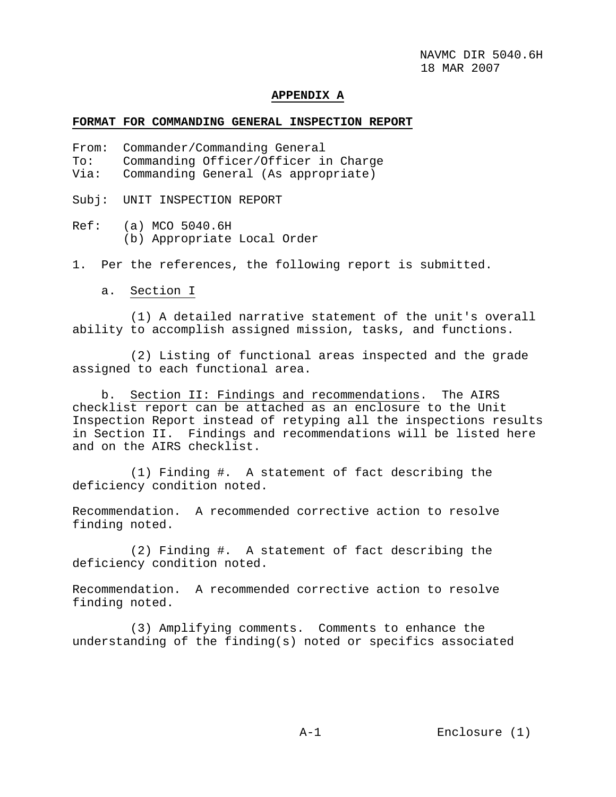#### **APPENDIX A**

#### **FORMAT FOR COMMANDING GENERAL INSPECTION REPORT**

- From: Commander/Commanding General
- To: Commanding Officer/Officer in Charge
- Via: Commanding General (As appropriate)

Subj: UNIT INSPECTION REPORT

Ref: (a) MCO 5040.6H (b) Appropriate Local Order

1. Per the references, the following report is submitted.

a. Section I

 (1) A detailed narrative statement of the unit's overall ability to accomplish assigned mission, tasks, and functions.

 (2) Listing of functional areas inspected and the grade assigned to each functional area.

 b. Section II: Findings and recommendations. The AIRS checklist report can be attached as an enclosure to the Unit Inspection Report instead of retyping all the inspections results in Section II. Findings and recommendations will be listed here and on the AIRS checklist.

 (1) Finding #. A statement of fact describing the deficiency condition noted.

Recommendation. A recommended corrective action to resolve finding noted.

 (2) Finding #. A statement of fact describing the deficiency condition noted.

Recommendation. A recommended corrective action to resolve finding noted.

 (3) Amplifying comments. Comments to enhance the understanding of the finding(s) noted or specifics associated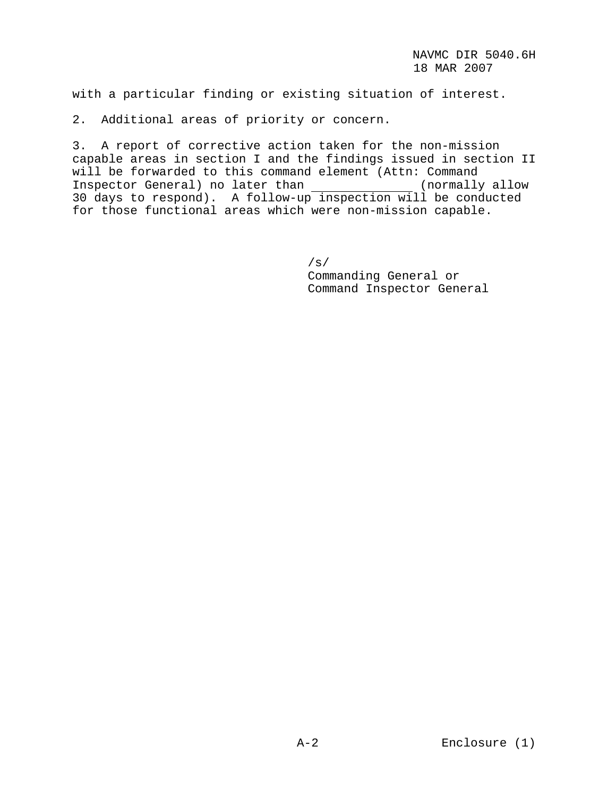with a particular finding or existing situation of interest.

2. Additional areas of priority or concern.

3. A report of corrective action taken for the non-mission capable areas in section I and the findings issued in section II will be forwarded to this command element (Attn: Command<br>Inspector General) no later than (normally allow Inspector General) no later than \_\_\_\_\_\_\_\_\_\_\_\_\_\_ (normally allow 30 days to respond). A follow-up inspection will be conducted for those functional areas which were non-mission capable.

> /s/ Commanding General or Command Inspector General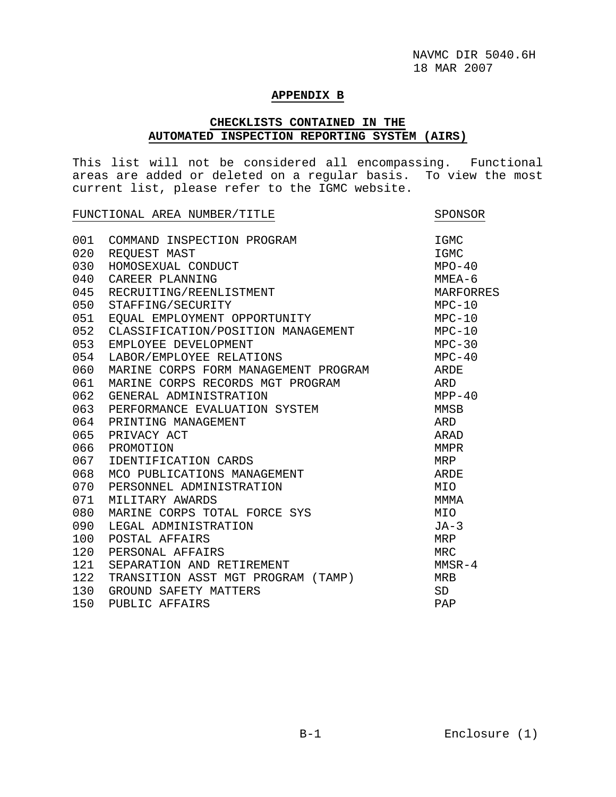#### **APPENDIX B**

## **CHECKLISTS CONTAINED IN THE AUTOMATED INSPECTION REPORTING SYSTEM (AIRS)**

This list will not be considered all encompassing. Functional areas are added or deleted on a regular basis. To view the most current list, please refer to the IGMC website.

| FUNCTIONAL AREA NUMBER/TITLE |                                      | SPONSOR    |
|------------------------------|--------------------------------------|------------|
| 001                          | COMMAND INSPECTION PROGRAM           | IGMC       |
| 020                          | REQUEST MAST                         | IGMC       |
| 030                          | HOMOSEXUAL CONDUCT                   | $MPO-40$   |
| 040                          | CAREER PLANNING                      | $MMEA-6$   |
| 045                          | RECRUITING/REENLISTMENT              | MARFORRES  |
| 050                          | STAFFING/SECURITY                    | $MPC-10$   |
| 051                          | EQUAL EMPLOYMENT OPPORTUNITY         | $MPC-10$   |
| 052                          | CLASSIFICATION/POSITION MANAGEMENT   | $MPC-10$   |
| 053                          | EMPLOYEE DEVELOPMENT                 | $MPC-30$   |
| 054                          | LABOR/EMPLOYEE RELATIONS             | $MPC-40$   |
| 060                          | MARINE CORPS FORM MANAGEMENT PROGRAM | ARDE       |
| 061                          | MARINE CORPS RECORDS MGT PROGRAM     | ARD        |
| 062                          | GENERAL ADMINISTRATION               | $MPP-40$   |
| 063                          | PERFORMANCE EVALUATION SYSTEM        | MMSB       |
| 064                          | PRINTING MANAGEMENT                  | ARD        |
| 065                          | PRIVACY ACT                          | ARAD       |
| 066                          | PROMOTION                            | MMPR       |
| 067                          | IDENTIFICATION CARDS                 | MRP        |
| 068                          | MCO PUBLICATIONS MANAGEMENT          | ARDE       |
| 070                          | PERSONNEL ADMINISTRATION             | MIO        |
| 071                          | MILITARY AWARDS                      | MMMA       |
| 080                          | MARINE CORPS TOTAL FORCE SYS         | MIO        |
| 090                          | LEGAL ADMINISTRATION                 | $JA-3$     |
| 100                          | POSTAL AFFAIRS                       | MRP        |
| 120                          | PERSONAL AFFAIRS                     | <b>MRC</b> |
| 121                          | SEPARATION AND RETIREMENT            | $MMSR-4$   |
| 122                          | TRANSITION ASST MGT PROGRAM (TAMP)   | <b>MRB</b> |
| 130                          | GROUND SAFETY MATTERS                | <b>SD</b>  |
| 150                          | PUBLIC AFFAIRS                       | PAP        |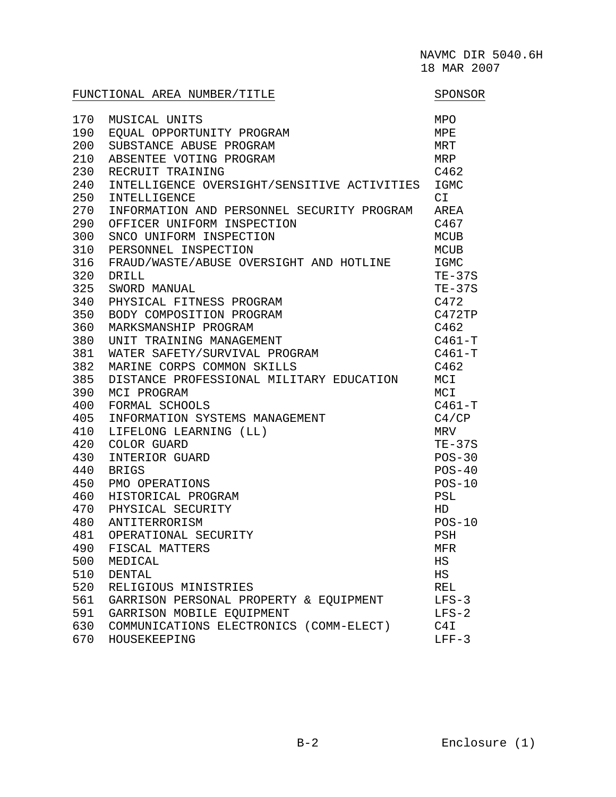|     | FUNCTIONAL AREA NUMBER/TITLE                | SPONSOR     |
|-----|---------------------------------------------|-------------|
| 170 | MUSICAL UNITS                               | MPO         |
| 190 | EQUAL OPPORTUNITY PROGRAM                   | MPE         |
| 200 | SUBSTANCE ABUSE PROGRAM                     | MRT         |
| 210 | ABSENTEE VOTING PROGRAM                     | MRP         |
| 230 | RECRUIT TRAINING                            | C462        |
| 240 | INTELLIGENCE OVERSIGHT/SENSITIVE ACTIVITIES | IGMC        |
| 250 | INTELLIGENCE                                | CI          |
| 270 | INFORMATION AND PERSONNEL SECURITY PROGRAM  | AREA        |
| 290 | OFFICER UNIFORM INSPECTION                  | C467        |
| 300 | SNCO UNIFORM INSPECTION                     | <b>MCUB</b> |
| 310 | PERSONNEL INSPECTION                        | <b>MCUB</b> |
| 316 | FRAUD/WASTE/ABUSE OVERSIGHT AND HOTLINE     | IGMC        |
| 320 | DRILL                                       | $TE-37S$    |
| 325 | SWORD MANUAL                                | $TE-37S$    |
| 340 | PHYSICAL FITNESS PROGRAM                    | C472        |
| 350 | BODY COMPOSITION PROGRAM                    | C472TP      |
| 360 | MARKSMANSHIP PROGRAM                        | C462        |
| 380 | UNIT TRAINING MANAGEMENT                    | $C461-T$    |
| 381 | WATER SAFETY/SURVIVAL PROGRAM               | $C461-T$    |
| 382 | MARINE CORPS COMMON SKILLS                  | C462        |
| 385 | DISTANCE PROFESSIONAL MILITARY EDUCATION    | MCI         |
| 390 | MCI PROGRAM                                 | MCI         |
| 400 | FORMAL SCHOOLS                              | $C461-T$    |
| 405 | INFORMATION SYSTEMS MANAGEMENT              | C4/CP       |
| 410 | LIFELONG LEARNING (LL)                      | MRV         |
| 420 | COLOR GUARD                                 | $TE-37S$    |
| 430 | INTERIOR GUARD                              | $POS-30$    |
| 440 | <b>BRIGS</b>                                | $POS-40$    |
| 450 | PMO OPERATIONS                              | $POS-10$    |
| 460 | HISTORICAL PROGRAM                          | PSL         |
| 470 | PHYSICAL SECURITY                           | HD          |
| 480 | ANTITERRORISM                               | $POS-10$    |
| 481 | OPERATIONAL SECURITY                        | PSH         |
| 490 | FISCAL MATTERS                              | MFR         |
| 500 | MEDICAL                                     | $_{\rm HS}$ |
| 510 | <b>DENTAL</b>                               | $_{\rm HS}$ |
| 520 | RELIGIOUS MINISTRIES                        | <b>REL</b>  |
| 561 | GARRISON PERSONAL PROPERTY & EQUIPMENT      | $LFS-3$     |
| 591 | GARRISON MOBILE EQUIPMENT                   | $LFS-2$     |
| 630 | COMMUNICATIONS ELECTRONICS (COMM-ELECT)     | C4I         |
| 670 | HOUSEKEEPING                                | $LFF-3$     |